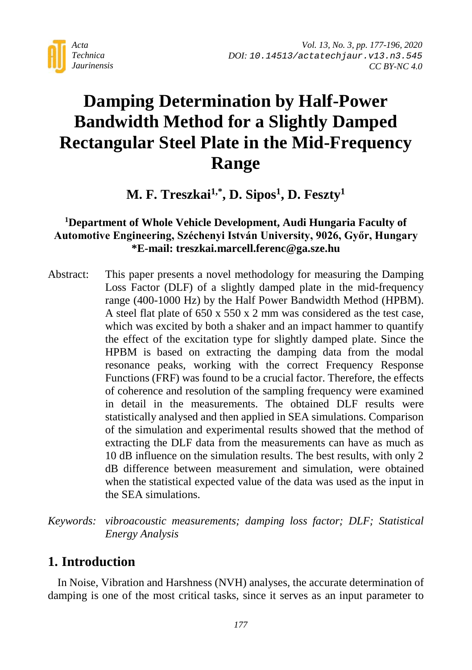

# **Damping Determination by Half-Power Bandwidth Method for a Slightly Damped Rectangular Steel Plate in the Mid-Frequency Range**

M. F. Treszkai<sup>1,\*</sup>, D. Sipos<sup>1</sup>, D. Feszty<sup>1</sup>

## **1 Department of Whole Vehicle Development, Audi Hungaria Faculty of Automotive Engineering, Széchenyi István University, 9026, Győr, Hungary \*E-mail: treszkai.marcell.ferenc@ga.sze.hu**

- Abstract: This paper presents a novel methodology for measuring the Damping Loss Factor (DLF) of a slightly damped plate in the mid-frequency range (400-1000 Hz) by the Half Power Bandwidth Method (HPBM). A steel flat plate of 650 x 550 x 2 mm was considered as the test case, which was excited by both a shaker and an impact hammer to quantify the effect of the excitation type for slightly damped plate. Since the HPBM is based on extracting the damping data from the modal resonance peaks, working with the correct Frequency Response Functions (FRF) was found to be a crucial factor. Therefore, the effects of coherence and resolution of the sampling frequency were examined in detail in the measurements. The obtained DLF results were statistically analysed and then applied in SEA simulations. Comparison of the simulation and experimental results showed that the method of extracting the DLF data from the measurements can have as much as 10 dB influence on the simulation results. The best results, with only 2 dB difference between measurement and simulation, were obtained when the statistical expected value of the data was used as the input in the SEA simulations.
- *Keywords: vibroacoustic measurements; damping loss factor; DLF; Statistical Energy Analysis*

# **1. Introduction**

In Noise, Vibration and Harshness (NVH) analyses, the accurate determination of damping is one of the most critical tasks, since it serves as an input parameter to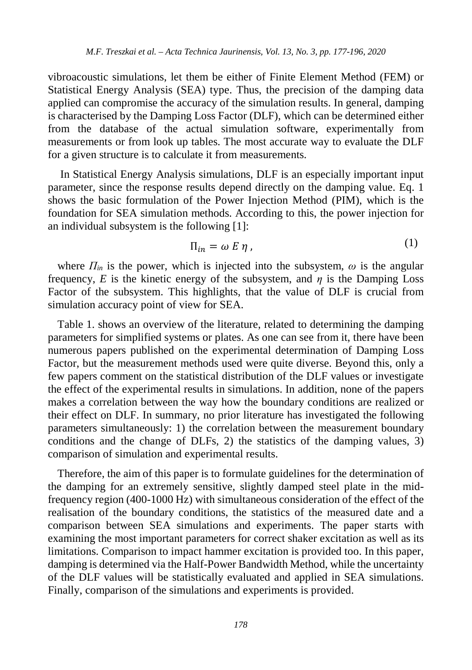vibroacoustic simulations, let them be either of Finite Element Method (FEM) or Statistical Energy Analysis (SEA) type. Thus, the precision of the damping data applied can compromise the accuracy of the simulation results. In general, damping is characterised by the Damping Loss Factor (DLF), which can be determined either from the database of the actual simulation software, experimentally from measurements or from look up tables. The most accurate way to evaluate the DLF for a given structure is to calculate it from measurements.

In Statistical Energy Analysis simulations, DLF is an especially important input parameter, since the response results depend directly on the damping value. Eq. 1 shows the basic formulation of the Power Injection Method (PIM), which is the foundation for SEA simulation methods. According to this, the power injection for an individual subsystem is the following [1]:

$$
\Pi_{in} = \omega E \eta \tag{1}
$$

where  $\Pi_{in}$  is the power, which is injected into the subsystem,  $\omega$  is the angular frequency, *E* is the kinetic energy of the subsystem, and  $\eta$  is the Damping Loss Factor of the subsystem. This highlights, that the value of DLF is crucial from simulation accuracy point of view for SEA.

Table 1. shows an overview of the literature, related to determining the damping parameters for simplified systems or plates. As one can see from it, there have been numerous papers published on the experimental determination of Damping Loss Factor, but the measurement methods used were quite diverse. Beyond this, only a few papers comment on the statistical distribution of the DLF values or investigate the effect of the experimental results in simulations. In addition, none of the papers makes a correlation between the way how the boundary conditions are realized or their effect on DLF. In summary, no prior literature has investigated the following parameters simultaneously: 1) the correlation between the measurement boundary conditions and the change of DLFs, 2) the statistics of the damping values, 3) comparison of simulation and experimental results.

Therefore, the aim of this paper is to formulate guidelines for the determination of the damping for an extremely sensitive, slightly damped steel plate in the midfrequency region (400-1000 Hz) with simultaneous consideration of the effect of the realisation of the boundary conditions, the statistics of the measured date and a comparison between SEA simulations and experiments. The paper starts with examining the most important parameters for correct shaker excitation as well as its limitations. Comparison to impact hammer excitation is provided too. In this paper, damping is determined via the Half-Power Bandwidth Method, while the uncertainty of the DLF values will be statistically evaluated and applied in SEA simulations. Finally, comparison of the simulations and experiments is provided.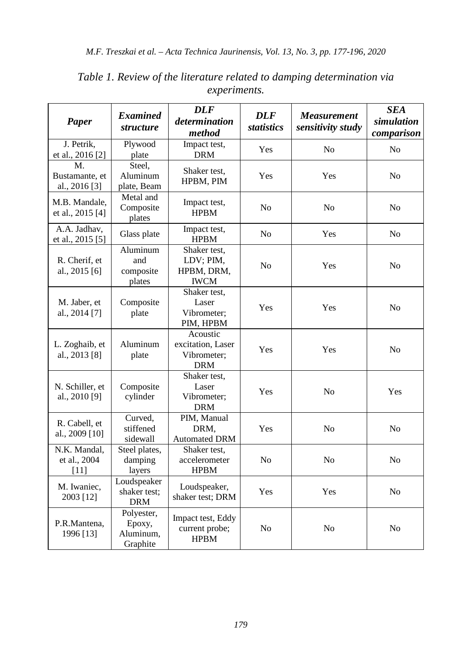| Paper                                 | <b>Examined</b><br><i>structure</i>           | <b>DLF</b><br>determination<br>method                      | <b>DLF</b><br>statistics | <b>Measurement</b><br>sensitivity study | <b>SEA</b><br>simulation<br>comparison |
|---------------------------------------|-----------------------------------------------|------------------------------------------------------------|--------------------------|-----------------------------------------|----------------------------------------|
| J. Petrik.<br>et al., 2016 [2]        | Plywood<br>plate                              | Impact test,<br><b>DRM</b>                                 | Yes                      | N <sub>o</sub>                          | No                                     |
| М.<br>Bustamante, et<br>al., 2016 [3] | Steel.<br>Aluminum<br>plate, Beam             | Shaker test,<br>HPBM, PIM                                  | Yes                      | Yes                                     | No                                     |
| M.B. Mandale,<br>et al., 2015 [4]     | Metal and<br>Composite<br>plates              | Impact test,<br><b>HPBM</b>                                | No                       | N <sub>0</sub>                          | No                                     |
| A.A. Jadhav,<br>et al., 2015 [5]      | Glass plate                                   | Impact test,<br><b>HPBM</b>                                | No                       | Yes                                     | No                                     |
| R. Cherif, et<br>al., 2015 [6]        | Aluminum<br>and<br>composite<br>plates        | Shaker test,<br>LDV; PIM,<br>HPBM, DRM,<br><b>IWCM</b>     | N <sub>0</sub>           | Yes                                     | N <sub>o</sub>                         |
| M. Jaber, et<br>al., 2014 [7]         | Composite<br>plate                            | Shaker test,<br>Laser<br>Vibrometer;<br>PIM, HPBM          | Yes                      | Yes                                     | No                                     |
| L. Zoghaib, et<br>al., 2013 [8]       | Aluminum<br>plate                             | Acoustic<br>excitation, Laser<br>Vibrometer;<br><b>DRM</b> | Yes                      | Yes                                     | No                                     |
| N. Schiller, et<br>al., 2010 [9]      | Composite<br>cylinder                         | Shaker test,<br>Laser<br>Vibrometer;<br><b>DRM</b>         | Yes                      | No                                      | Yes                                    |
| R. Cabell, et<br>al., 2009 [10]       | Curved,<br>stiffened<br>sidewall              | PIM, Manual<br>DRM,<br><b>Automated DRM</b>                | Yes                      | No                                      | No                                     |
| N.K. Mandal,<br>et al., 2004<br>[11]  | Steel plates,<br>damping<br>layers            | Shaker test,<br>accelerometer<br><b>HPBM</b>               | N <sub>o</sub>           | No                                      | N <sub>o</sub>                         |
| M. Iwaniec,<br>2003 [12]              | Loudspeaker<br>shaker test;<br><b>DRM</b>     | Loudspeaker,<br>shaker test; DRM                           | Yes                      | Yes                                     | No                                     |
| P.R.Mantena,<br>1996 [13]             | Polyester,<br>Epoxy,<br>Aluminum,<br>Graphite | Impact test, Eddy<br>current probe;<br><b>HPBM</b>         | No                       | No                                      | No                                     |

*Table 1. Review of the literature related to damping determination via experiments.*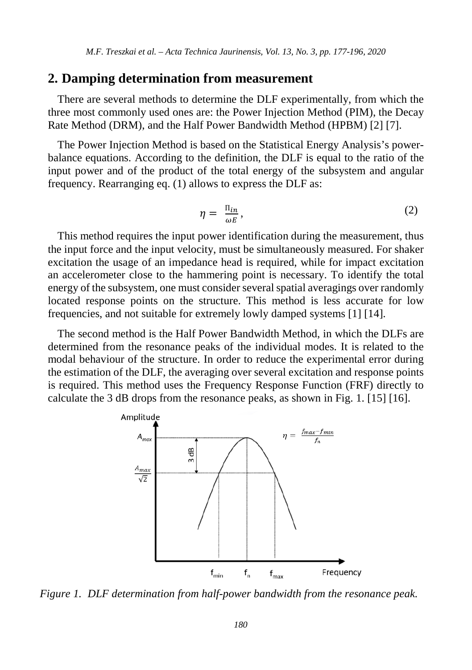### **2. Damping determination from measurement**

There are several methods to determine the DLF experimentally, from which the three most commonly used ones are: the Power Injection Method (PIM), the Decay Rate Method (DRM), and the Half Power Bandwidth Method (HPBM) [2] [7].

The Power Injection Method is based on the Statistical Energy Analysis's powerbalance equations. According to the definition, the DLF is equal to the ratio of the input power and of the product of the total energy of the subsystem and angular frequency. Rearranging eq. (1) allows to express the DLF as:

$$
\eta = \frac{\Pi_{in}}{\omega E},\tag{2}
$$

This method requires the input power identification during the measurement, thus the input force and the input velocity, must be simultaneously measured. For shaker excitation the usage of an impedance head is required, while for impact excitation an accelerometer close to the hammering point is necessary. To identify the total energy of the subsystem, one must consider several spatial averagings over randomly located response points on the structure. This method is less accurate for low frequencies, and not suitable for extremely lowly damped systems [1] [14].

The second method is the Half Power Bandwidth Method, in which the DLFs are determined from the resonance peaks of the individual modes. It is related to the modal behaviour of the structure. In order to reduce the experimental error during the estimation of the DLF, the averaging over several excitation and response points is required. This method uses the Frequency Response Function (FRF) directly to calculate the 3 dB drops from the resonance peaks, as shown in Fig. 1. [15] [16].



*Figure 1. DLF determination from half-power bandwidth from the resonance peak.*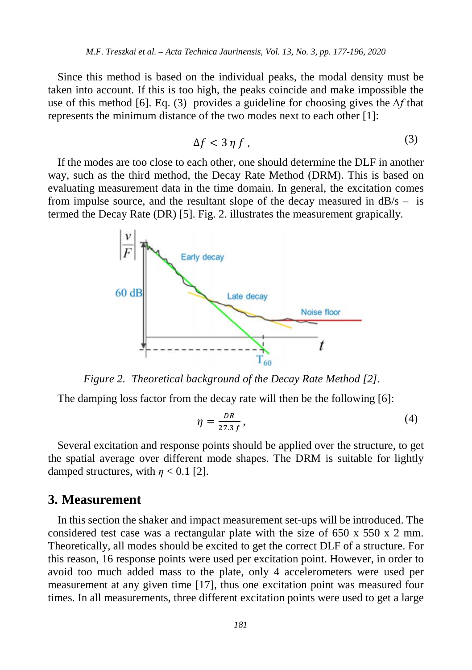Since this method is based on the individual peaks, the modal density must be taken into account. If this is too high, the peaks coincide and make impossible the use of this method [6]. Eq. (3) provides a guideline for choosing gives the *∆f* that represents the minimum distance of the two modes next to each other [1]:

$$
\Delta f < 3 \eta \, f \tag{3}
$$

If the modes are too close to each other, one should determine the DLF in another way, such as the third method, the Decay Rate Method (DRM). This is based on evaluating measurement data in the time domain. In general, the excitation comes from impulse source, and the resultant slope of the decay measured in  $dB/s -$  is termed the Decay Rate (DR) [5]. Fig. 2. illustrates the measurement grapically.



*Figure 2. Theoretical background of the Decay Rate Method [2].*

The damping loss factor from the decay rate will then be the following [6]:

$$
\eta = \frac{DR}{27.3 f},\tag{4}
$$

Several excitation and response points should be applied over the structure, to get the spatial average over different mode shapes. The DRM is suitable for lightly damped structures, with  $\eta$  < 0.1 [2].

### **3. Measurement**

In this section the shaker and impact measurement set-ups will be introduced. The considered test case was a rectangular plate with the size of 650 x 550 x 2 mm. Theoretically, all modes should be excited to get the correct DLF of a structure. For this reason, 16 response points were used per excitation point. However, in order to avoid too much added mass to the plate, only 4 accelerometers were used per measurement at any given time [17], thus one excitation point was measured four times. In all measurements, three different excitation points were used to get a large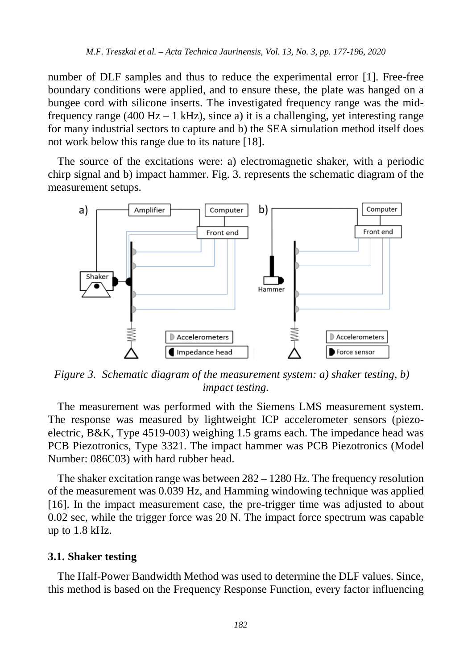number of DLF samples and thus to reduce the experimental error [1]. Free-free boundary conditions were applied, and to ensure these, the plate was hanged on a bungee cord with silicone inserts. The investigated frequency range was the midfrequency range (400 Hz – 1 kHz), since a) it is a challenging, yet interesting range for many industrial sectors to capture and b) the SEA simulation method itself does not work below this range due to its nature [18].

The source of the excitations were: a) electromagnetic shaker, with a periodic chirp signal and b) impact hammer. Fig. 3. represents the schematic diagram of the measurement setups.



*Figure 3. Schematic diagram of the measurement system: a) shaker testing, b) impact testing.*

The measurement was performed with the Siemens LMS measurement system. The response was measured by lightweight ICP accelerometer sensors (piezoelectric, B&K, Type 4519-003) weighing 1.5 grams each. The impedance head was PCB Piezotronics, Type 3321. The impact hammer was PCB Piezotronics (Model Number: 086C03) with hard rubber head.

The shaker excitation range was between  $282 - 1280$  Hz. The frequency resolution of the measurement was 0.039 Hz, and Hamming windowing technique was applied [16]. In the impact measurement case, the pre-trigger time was adjusted to about 0.02 sec, while the trigger force was 20 N. The impact force spectrum was capable up to 1.8 kHz.

#### **3.1. Shaker testing**

The Half-Power Bandwidth Method was used to determine the DLF values. Since, this method is based on the Frequency Response Function, every factor influencing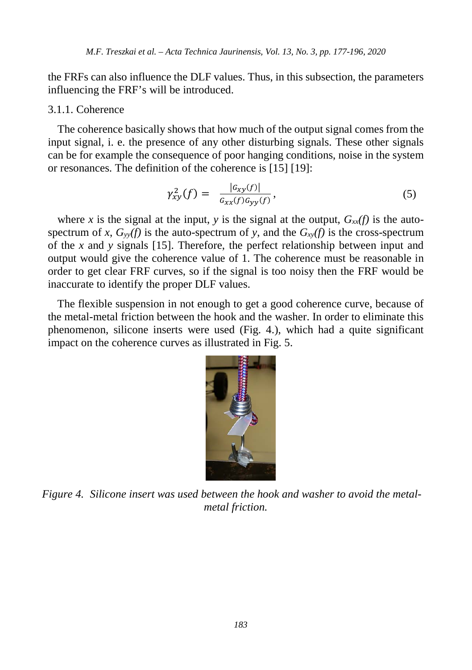the FRFs can also influence the DLF values. Thus, in this subsection, the parameters influencing the FRF's will be introduced.

#### 3.1.1. Coherence

The coherence basically shows that how much of the output signal comes from the input signal, i. e. the presence of any other disturbing signals. These other signals can be for example the consequence of poor hanging conditions, noise in the system or resonances. The definition of the coherence is [15] [19]:

$$
\gamma_{xy}^2(f) = \frac{|G_{xy}(f)|}{G_{xx}(f)G_{yy}(f)},\tag{5}
$$

where x is the signal at the input, y is the signal at the output,  $G_{xx}(f)$  is the autospectrum of *x*,  $G<sub>yy</sub>(f)$  is the auto-spectrum of *y*, and the  $G<sub>xy</sub>(f)$  is the cross-spectrum of the *x* and *y* signals [15]. Therefore, the perfect relationship between input and output would give the coherence value of 1. The coherence must be reasonable in order to get clear FRF curves, so if the signal is too noisy then the FRF would be inaccurate to identify the proper DLF values.

The flexible suspension in not enough to get a good coherence curve, because of the metal-metal friction between the hook and the washer. In order to eliminate this phenomenon, silicone inserts were used (Fig. 4.), which had a quite significant impact on the coherence curves as illustrated in Fig. 5.



*Figure 4. Silicone insert was used between the hook and washer to avoid the metalmetal friction.*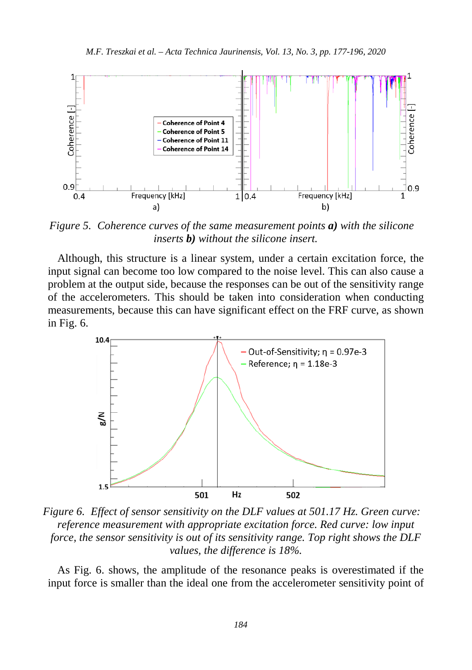

*Figure 5. Coherence curves of the same measurement points a) with the silicone inserts b) without the silicone insert.*

Although, this structure is a linear system, under a certain excitation force, the input signal can become too low compared to the noise level. This can also cause a problem at the output side, because the responses can be out of the sensitivity range of the accelerometers. This should be taken into consideration when conducting measurements, because this can have significant effect on the FRF curve, as shown in Fig. 6.



*Figure 6. Effect of sensor sensitivity on the DLF values at 501.17 Hz. Green curve: reference measurement with appropriate excitation force. Red curve: low input force, the sensor sensitivity is out of its sensitivity range. Top right shows the DLF values, the difference is 18%.*

As Fig. 6. shows, the amplitude of the resonance peaks is overestimated if the input force is smaller than the ideal one from the accelerometer sensitivity point of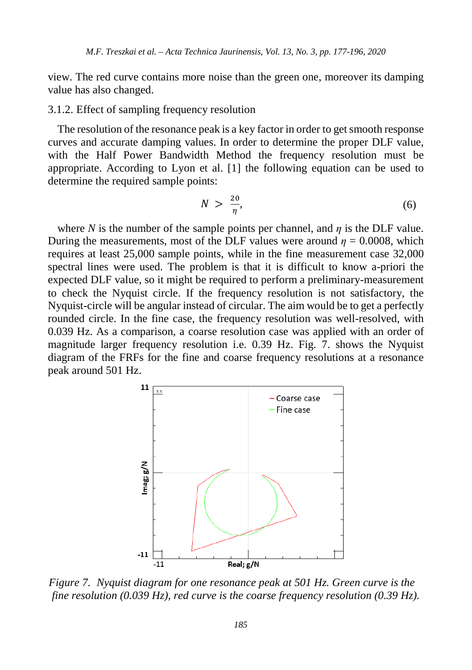view. The red curve contains more noise than the green one, moreover its damping value has also changed.

#### 3.1.2. Effect of sampling frequency resolution

The resolution of the resonance peak is a key factor in order to get smooth response curves and accurate damping values. In order to determine the proper DLF value, with the Half Power Bandwidth Method the frequency resolution must be appropriate. According to Lyon et al. [1] the following equation can be used to determine the required sample points:

$$
N > \frac{20}{\eta},\tag{6}
$$

where *N* is the number of the sample points per channel, and  $\eta$  is the DLF value. During the measurements, most of the DLF values were around  $\eta = 0.0008$ , which requires at least 25,000 sample points, while in the fine measurement case 32,000 spectral lines were used. The problem is that it is difficult to know a-priori the expected DLF value, so it might be required to perform a preliminary-measurement to check the Nyquist circle. If the frequency resolution is not satisfactory, the Nyquist-circle will be angular instead of circular. The aim would be to get a perfectly rounded circle. In the fine case, the frequency resolution was well-resolved, with 0.039 Hz. As a comparison, a coarse resolution case was applied with an order of magnitude larger frequency resolution i.e. 0.39 Hz. Fig. 7. shows the Nyquist diagram of the FRFs for the fine and coarse frequency resolutions at a resonance peak around 501 Hz.



*Figure 7. Nyquist diagram for one resonance peak at 501 Hz. Green curve is the fine resolution (0.039 Hz), red curve is the coarse frequency resolution (0.39 Hz).*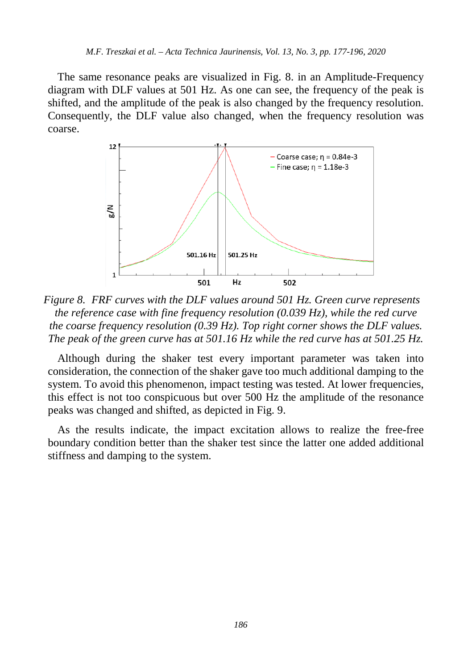The same resonance peaks are visualized in Fig. 8. in an Amplitude-Frequency diagram with DLF values at 501 Hz. As one can see, the frequency of the peak is shifted, and the amplitude of the peak is also changed by the frequency resolution. Consequently, the DLF value also changed, when the frequency resolution was coarse.



*Figure 8. FRF curves with the DLF values around 501 Hz. Green curve represents the reference case with fine frequency resolution (0.039 Hz), while the red curve the coarse frequency resolution (0.39 Hz). Top right corner shows the DLF values. The peak of the green curve has at 501.16 Hz while the red curve has at 501.25 Hz.*

Although during the shaker test every important parameter was taken into consideration, the connection of the shaker gave too much additional damping to the system. To avoid this phenomenon, impact testing was tested. At lower frequencies, this effect is not too conspicuous but over 500 Hz the amplitude of the resonance peaks was changed and shifted, as depicted in Fig. 9.

As the results indicate, the impact excitation allows to realize the free-free boundary condition better than the shaker test since the latter one added additional stiffness and damping to the system.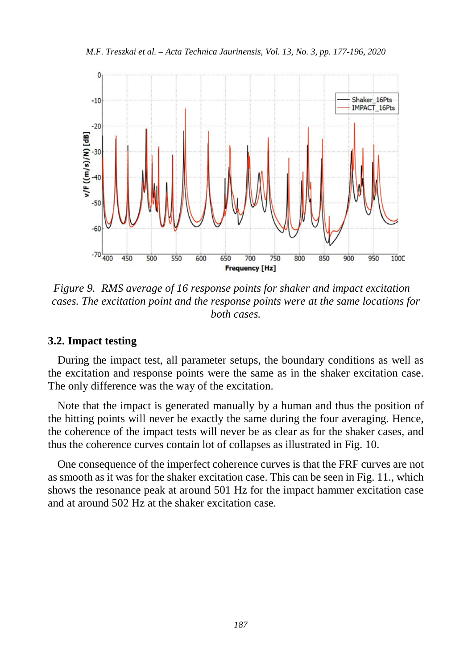*M.F. Treszkai et al. – Acta Technica Jaurinensis, Vol. 13, No. 3, pp. 177-196, 2020*



*Figure 9. RMS average of 16 response points for shaker and impact excitation cases. The excitation point and the response points were at the same locations for both cases.*

### **3.2. Impact testing**

During the impact test, all parameter setups, the boundary conditions as well as the excitation and response points were the same as in the shaker excitation case. The only difference was the way of the excitation.

Note that the impact is generated manually by a human and thus the position of the hitting points will never be exactly the same during the four averaging. Hence, the coherence of the impact tests will never be as clear as for the shaker cases, and thus the coherence curves contain lot of collapses as illustrated in Fig. 10.

One consequence of the imperfect coherence curves is that the FRF curves are not as smooth as it was for the shaker excitation case. This can be seen in Fig. 11., which shows the resonance peak at around 501 Hz for the impact hammer excitation case and at around 502 Hz at the shaker excitation case.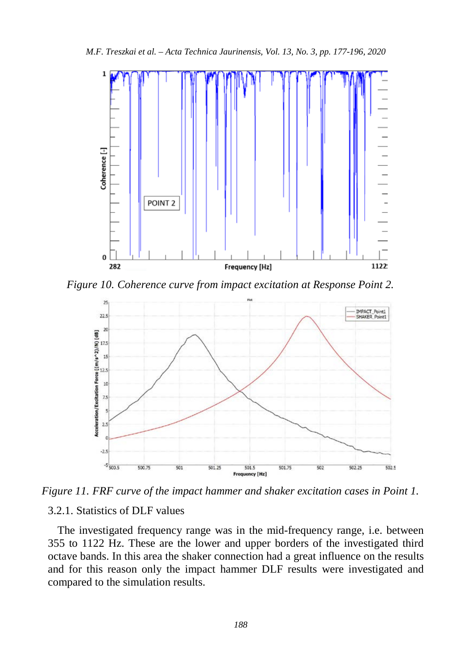*M.F. Treszkai et al. – Acta Technica Jaurinensis, Vol. 13, No. 3, pp. 177-196, 2020*



*Figure 10. Coherence curve from impact excitation at Response Point 2.*



*Figure 11. FRF curve of the impact hammer and shaker excitation cases in Point 1.*

### 3.2.1. Statistics of DLF values

The investigated frequency range was in the mid-frequency range, i.e. between 355 to 1122 Hz. These are the lower and upper borders of the investigated third octave bands. In this area the shaker connection had a great influence on the results and for this reason only the impact hammer DLF results were investigated and compared to the simulation results.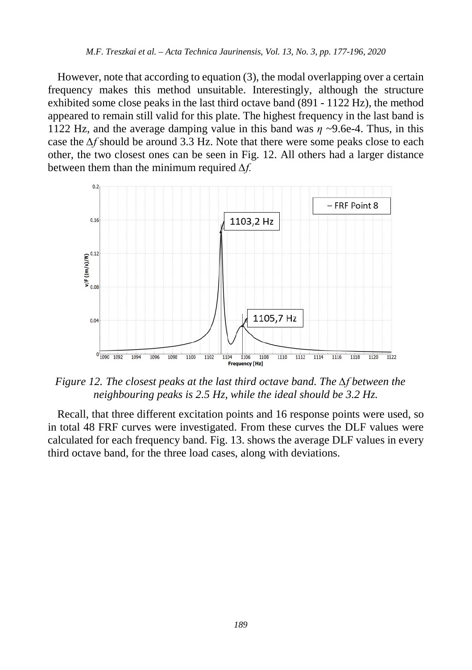However, note that according to equation (3), the modal overlapping over a certain frequency makes this method unsuitable. Interestingly, although the structure exhibited some close peaks in the last third octave band (891 - 1122 Hz), the method appeared to remain still valid for this plate. The highest frequency in the last band is 1122 Hz, and the average damping value in this band was *η* ~9.6e-4. Thus, in this case the *∆f* should be around 3.3 Hz. Note that there were some peaks close to each other, the two closest ones can be seen in Fig. 12. All others had a larger distance between them than the minimum required *∆f.*



*Figure 12. The closest peaks at the last third octave band. The ∆f between the neighbouring peaks is 2.5 Hz, while the ideal should be 3.2 Hz.*

Recall, that three different excitation points and 16 response points were used, so in total 48 FRF curves were investigated. From these curves the DLF values were calculated for each frequency band. Fig. 13. shows the average DLF values in every third octave band, for the three load cases, along with deviations.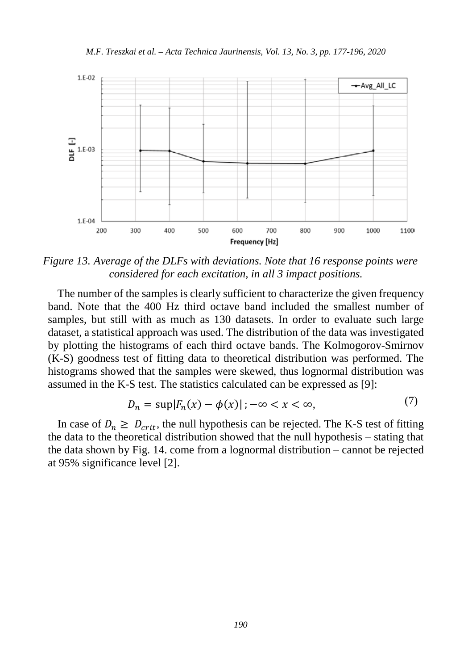*M.F. Treszkai et al. – Acta Technica Jaurinensis, Vol. 13, No. 3, pp. 177-196, 2020*



*Figure 13. Average of the DLFs with deviations. Note that 16 response points were considered for each excitation, in all 3 impact positions.*

The number of the samples is clearly sufficient to characterize the given frequency band. Note that the 400 Hz third octave band included the smallest number of samples, but still with as much as 130 datasets. In order to evaluate such large dataset, a statistical approach was used. The distribution of the data was investigated by plotting the histograms of each third octave bands. The Kolmogorov-Smirnov (K-S) goodness test of fitting data to theoretical distribution was performed. The histograms showed that the samples were skewed, thus lognormal distribution was assumed in the K-S test. The statistics calculated can be expressed as [9]:

$$
D_n = \sup |F_n(x) - \phi(x)|; -\infty < x < \infty,\tag{7}
$$

In case of  $D_n \geq D_{crit}$ , the null hypothesis can be rejected. The K-S test of fitting the data to the theoretical distribution showed that the null hypothesis – stating that the data shown by Fig. 14. come from a lognormal distribution – cannot be rejected at 95% significance level [2].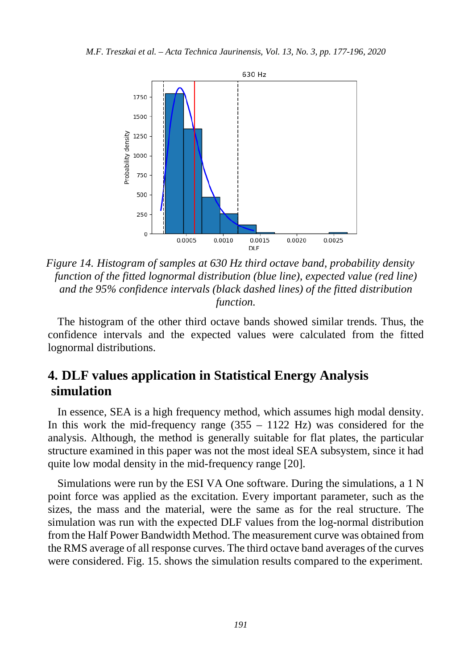

*Figure 14. Histogram of samples at 630 Hz third octave band, probability density function of the fitted lognormal distribution (blue line), expected value (red line) and the 95% confidence intervals (black dashed lines) of the fitted distribution function.* 

The histogram of the other third octave bands showed similar trends. Thus, the confidence intervals and the expected values were calculated from the fitted lognormal distributions.

# **4. DLF values application in Statistical Energy Analysis simulation**

In essence, SEA is a high frequency method, which assumes high modal density. In this work the mid-frequency range  $(355 - 1122 \text{ Hz})$  was considered for the analysis. Although, the method is generally suitable for flat plates, the particular structure examined in this paper was not the most ideal SEA subsystem, since it had quite low modal density in the mid-frequency range [20].

Simulations were run by the ESI VA One software. During the simulations, a 1 N point force was applied as the excitation. Every important parameter, such as the sizes, the mass and the material, were the same as for the real structure. The simulation was run with the expected DLF values from the log-normal distribution from the Half Power Bandwidth Method. The measurement curve was obtained from the RMS average of all response curves. The third octave band averages of the curves were considered. Fig. 15. shows the simulation results compared to the experiment.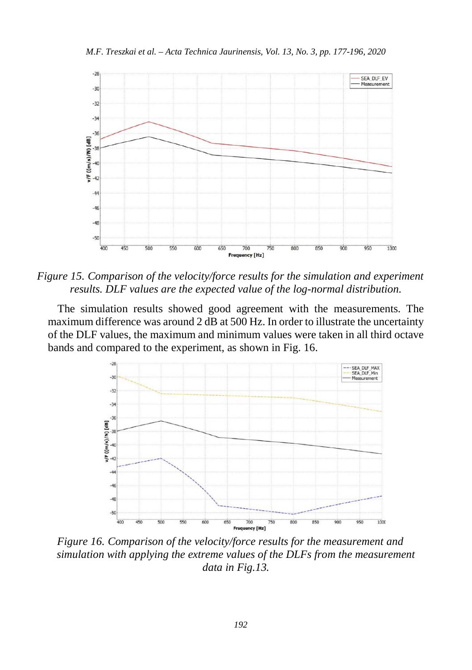

*Figure 15. Comparison of the velocity/force results for the simulation and experiment results. DLF values are the expected value of the log-normal distribution.* 

The simulation results showed good agreement with the measurements. The maximum difference was around 2 dB at 500 Hz. In order to illustrate the uncertainty of the DLF values, the maximum and minimum values were taken in all third octave bands and compared to the experiment, as shown in Fig. 16.



*Figure 16. Comparison of the velocity/force results for the measurement and simulation with applying the extreme values of the DLFs from the measurement data in Fig.13.*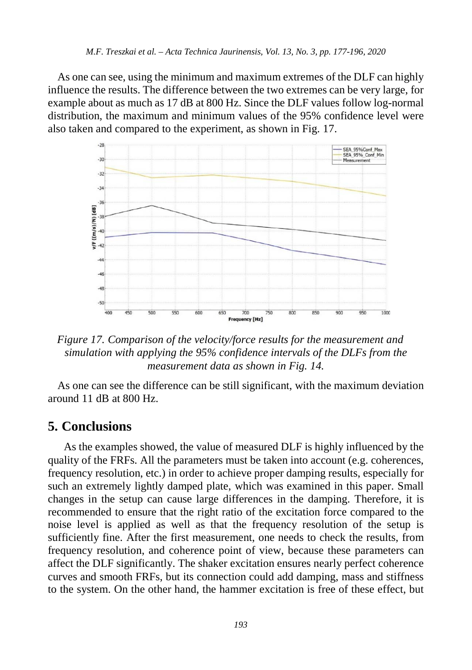As one can see, using the minimum and maximum extremes of the DLF can highly influence the results. The difference between the two extremes can be very large, for example about as much as 17 dB at 800 Hz. Since the DLF values follow log-normal distribution, the maximum and minimum values of the 95% confidence level were also taken and compared to the experiment, as shown in Fig. 17.



*Figure 17. Comparison of the velocity/force results for the measurement and simulation with applying the 95% confidence intervals of the DLFs from the measurement data as shown in Fig. 14.*

As one can see the difference can be still significant, with the maximum deviation around 11 dB at 800 Hz.

# **5. Conclusions**

As the examples showed, the value of measured DLF is highly influenced by the quality of the FRFs. All the parameters must be taken into account (e.g. coherences, frequency resolution, etc.) in order to achieve proper damping results, especially for such an extremely lightly damped plate, which was examined in this paper. Small changes in the setup can cause large differences in the damping. Therefore, it is recommended to ensure that the right ratio of the excitation force compared to the noise level is applied as well as that the frequency resolution of the setup is sufficiently fine. After the first measurement, one needs to check the results, from frequency resolution, and coherence point of view, because these parameters can affect the DLF significantly. The shaker excitation ensures nearly perfect coherence curves and smooth FRFs, but its connection could add damping, mass and stiffness to the system. On the other hand, the hammer excitation is free of these effect, but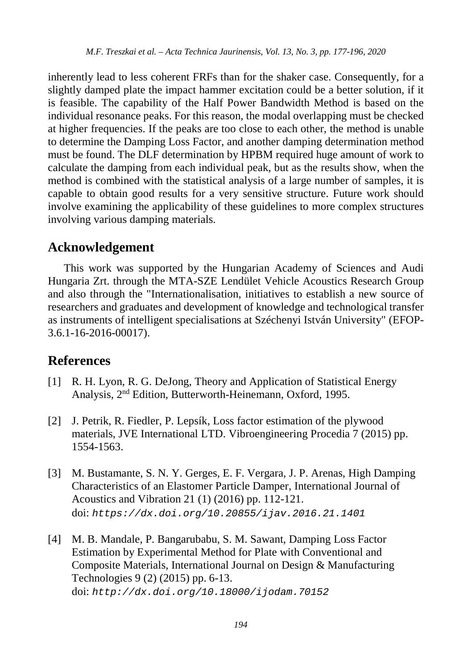inherently lead to less coherent FRFs than for the shaker case. Consequently, for a slightly damped plate the impact hammer excitation could be a better solution, if it is feasible. The capability of the Half Power Bandwidth Method is based on the individual resonance peaks. For this reason, the modal overlapping must be checked at higher frequencies. If the peaks are too close to each other, the method is unable to determine the Damping Loss Factor, and another damping determination method must be found. The DLF determination by HPBM required huge amount of work to calculate the damping from each individual peak, but as the results show, when the method is combined with the statistical analysis of a large number of samples, it is capable to obtain good results for a very sensitive structure. Future work should involve examining the applicability of these guidelines to more complex structures involving various damping materials.

# **Acknowledgement**

This work was supported by the Hungarian Academy of Sciences and Audi Hungaria Zrt. through the MTA-SZE Lendület Vehicle Acoustics Research Group and also through the "Internationalisation, initiatives to establish a new source of researchers and graduates and development of knowledge and technological transfer as instruments of intelligent specialisations at Széchenyi István University" (EFOP-3.6.1-16-2016-00017).

# **References**

- [1] R. H. Lyon, R. G. DeJong, Theory and Application of Statistical Energy Analysis, 2nd Edition, Butterworth-Heinemann, Oxford, 1995.
- [2] J. Petrik, R. Fiedler, P. Lepsík, Loss factor estimation of the plywood materials, JVE International LTD. Vibroengineering Procedia 7 (2015) pp. 1554-1563.
- [3] M. Bustamante, S. N. Y. Gerges, E. F. Vergara, J. P. Arenas, High Damping Characteristics of an Elastomer Particle Damper, International Journal of Acoustics and Vibration 21 (1) (2016) pp. 112-121. doi: *https://dx.doi.org/10.20855/ijav.2016.21.1401*
- [4] M. B. Mandale, P. Bangarubabu, S. M. Sawant, Damping Loss Factor Estimation by Experimental Method for Plate with Conventional and Composite Materials, International Journal on Design & Manufacturing Technologies 9 (2) (2015) pp. 6-13. doi: *<http://dx.doi.org/10.18000/ijodam.70152>*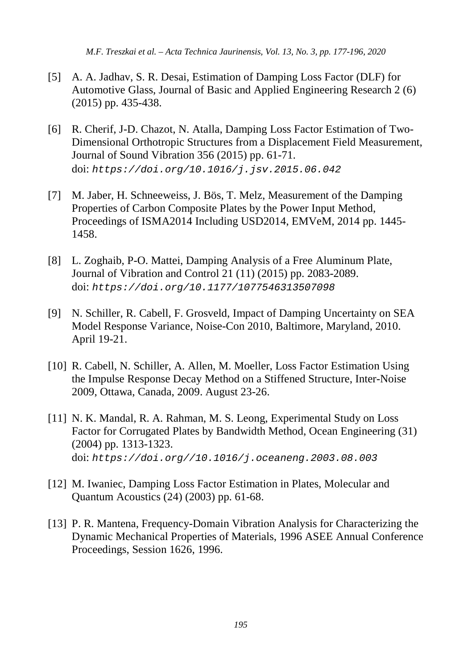*M.F. Treszkai et al. – Acta Technica Jaurinensis, Vol. 13, No. 3, pp. 177-196, 2020*

- [5] A. A. Jadhav, S. R. Desai, Estimation of Damping Loss Factor (DLF) for Automotive Glass, Journal of Basic and Applied Engineering Research 2 (6) (2015) pp. 435-438.
- [6] R. Cherif, J-D. Chazot, N. Atalla, Damping Loss Factor Estimation of Two-Dimensional Orthotropic Structures from a Displacement Field Measurement, Journal of Sound Vibration 356 (2015) pp. 61-71. doi: *<https://doi.org/10.1016/j.jsv.2015.06.042>*
- [7] M. Jaber, H. Schneeweiss, J. Bös, T. Melz, Measurement of the Damping Properties of Carbon Composite Plates by the Power Input Method, Proceedings of ISMA2014 Including USD2014, EMVeM, 2014 pp. 1445- 1458.
- [8] L. Zoghaib, P-O. Mattei, Damping Analysis of a Free Aluminum Plate, Journal of Vibration and Control 21 (11) (2015) pp. 2083-2089. doi: *https://doi.org/10.1177/1077546313507098*
- [9] N. Schiller, R. Cabell, F. Grosveld, Impact of Damping Uncertainty on SEA Model Response Variance, Noise-Con 2010, Baltimore, Maryland, 2010. April 19-21.
- [10] R. Cabell, N. Schiller, A. Allen, M. Moeller, Loss Factor Estimation Using the Impulse Response Decay Method on a Stiffened Structure, Inter-Noise 2009, Ottawa, Canada, 2009. August 23-26.
- [11] N. K. Mandal, R. A. Rahman, M. S. Leong, Experimental Study on Loss Factor for Corrugated Plates by Bandwidth Method, Ocean Engineering (31) (2004) pp. 1313-1323. doi: *https://doi.org//10.1016/j.oceaneng.2003.08.003*
- [12] M. Iwaniec, Damping Loss Factor Estimation in Plates, Molecular and Quantum Acoustics (24) (2003) pp. 61-68.
- [13] P. R. Mantena, Frequency-Domain Vibration Analysis for Characterizing the Dynamic Mechanical Properties of Materials, 1996 ASEE Annual Conference Proceedings, Session 1626, 1996.